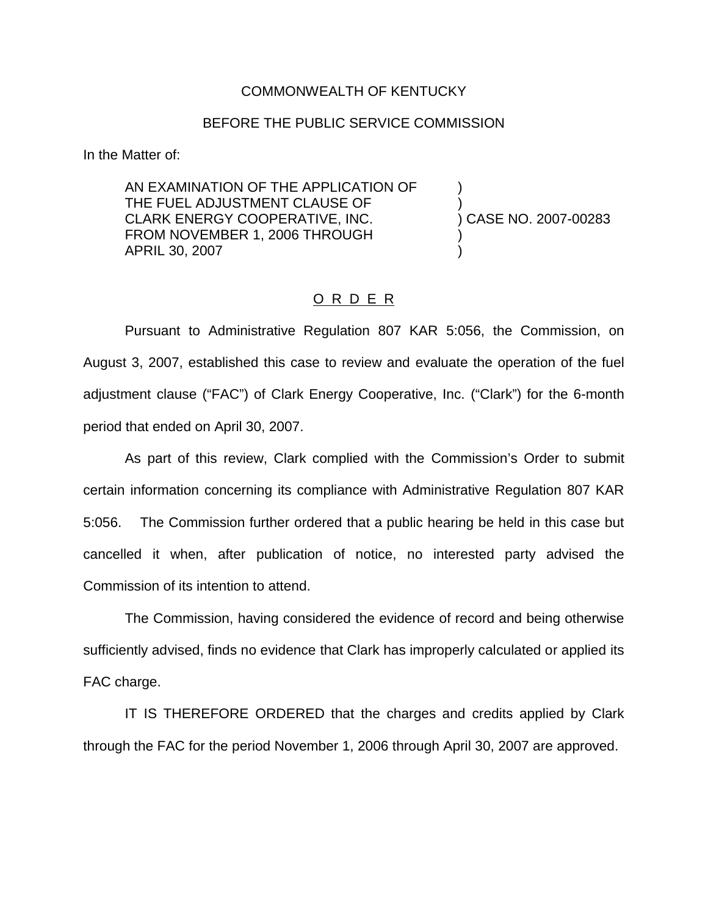## COMMONWEALTH OF KENTUCKY

## BEFORE THE PUBLIC SERVICE COMMISSION

In the Matter of:

AN EXAMINATION OF THE APPLICATION OF ) THE FUEL ADJUSTMENT CLAUSE OF  $\qquad \qquad$ )<br>CLARK ENERGY COOPERATIVE, INC.  $\qquad \qquad$ ) CASE NO. 2007-00283 CLARK ENERGY COOPERATIVE, INC. FROM NOVEMBER 1, 2006 THROUGH APRIL 30, 2007 )

## O R D E R

Pursuant to Administrative Regulation 807 KAR 5:056, the Commission, on August 3, 2007, established this case to review and evaluate the operation of the fuel adjustment clause ("FAC") of Clark Energy Cooperative, Inc. ("Clark") for the 6-month period that ended on April 30, 2007.

As part of this review, Clark complied with the Commission's Order to submit certain information concerning its compliance with Administrative Regulation 807 KAR 5:056. The Commission further ordered that a public hearing be held in this case but cancelled it when, after publication of notice, no interested party advised the Commission of its intention to attend.

The Commission, having considered the evidence of record and being otherwise sufficiently advised, finds no evidence that Clark has improperly calculated or applied its FAC charge.

IT IS THEREFORE ORDERED that the charges and credits applied by Clark through the FAC for the period November 1, 2006 through April 30, 2007 are approved.